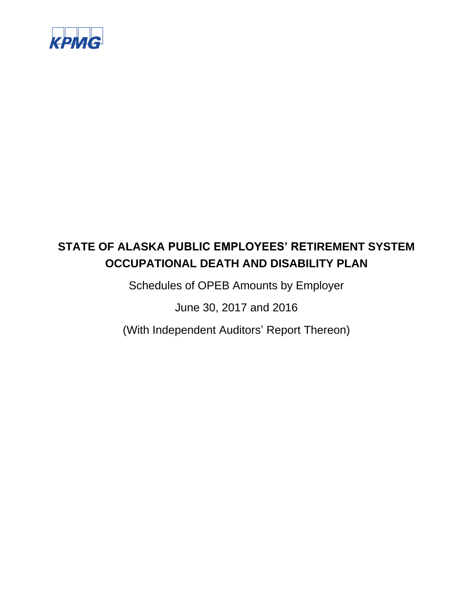

Schedules of OPEB Amounts by Employer

June 30, 2017 and 2016

(With Independent Auditors' Report Thereon)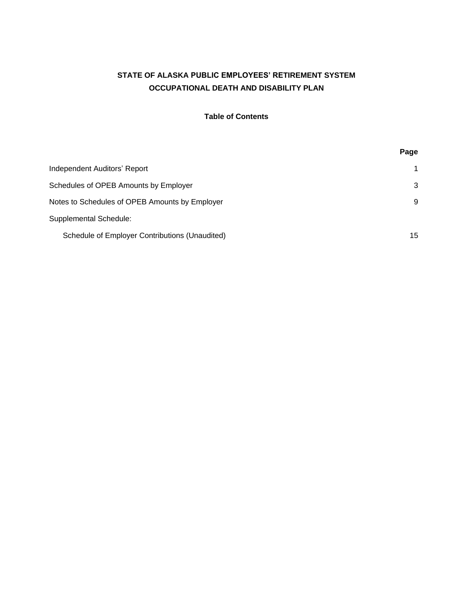## **Table of Contents**

|                                                | Page |
|------------------------------------------------|------|
| Independent Auditors' Report                   | 1    |
| Schedules of OPEB Amounts by Employer          | 3    |
| Notes to Schedules of OPEB Amounts by Employer | 9    |
| <b>Supplemental Schedule:</b>                  |      |
| Schedule of Employer Contributions (Unaudited) | 15   |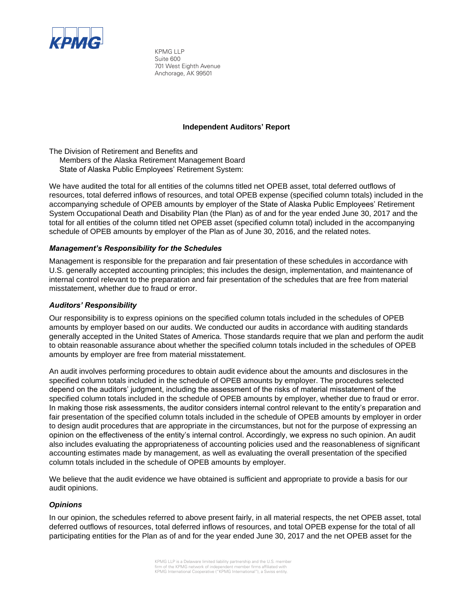

KPMG LLP Suite 600 701 West Eighth Avenue Anchorage, AK 99501

#### **Independent Auditors' Report**

The Division of Retirement and Benefits and

Members of the Alaska Retirement Management Board State of Alaska Public Employees' Retirement System:

We have audited the total for all entities of the columns titled net OPEB asset, total deferred outflows of resources, total deferred inflows of resources, and total OPEB expense (specified column totals) included in the accompanying schedule of OPEB amounts by employer of the State of Alaska Public Employees' Retirement System Occupational Death and Disability Plan (the Plan) as of and for the year ended June 30, 2017 and the total for all entities of the column titled net OPEB asset (specified column total) included in the accompanying schedule of OPEB amounts by employer of the Plan as of June 30, 2016, and the related notes.

#### *Management's Responsibility for the Schedules*

Management is responsible for the preparation and fair presentation of these schedules in accordance with U.S. generally accepted accounting principles; this includes the design, implementation, and maintenance of internal control relevant to the preparation and fair presentation of the schedules that are free from material misstatement, whether due to fraud or error.

#### *Auditors' Responsibility*

Our responsibility is to express opinions on the specified column totals included in the schedules of OPEB amounts by employer based on our audits. We conducted our audits in accordance with auditing standards generally accepted in the United States of America. Those standards require that we plan and perform the audit to obtain reasonable assurance about whether the specified column totals included in the schedules of OPEB amounts by employer are free from material misstatement.

An audit involves performing procedures to obtain audit evidence about the amounts and disclosures in the specified column totals included in the schedule of OPEB amounts by employer. The procedures selected depend on the auditors' judgment, including the assessment of the risks of material misstatement of the specified column totals included in the schedule of OPEB amounts by employer, whether due to fraud or error. In making those risk assessments, the auditor considers internal control relevant to the entity's preparation and fair presentation of the specified column totals included in the schedule of OPEB amounts by employer in order to design audit procedures that are appropriate in the circumstances, but not for the purpose of expressing an opinion on the effectiveness of the entity's internal control. Accordingly, we express no such opinion. An audit also includes evaluating the appropriateness of accounting policies used and the reasonableness of significant accounting estimates made by management, as well as evaluating the overall presentation of the specified column totals included in the schedule of OPEB amounts by employer.

We believe that the audit evidence we have obtained is sufficient and appropriate to provide a basis for our audit opinions.

#### *Opinions*

In our opinion, the schedules referred to above present fairly, in all material respects, the net OPEB asset, total deferred outflows of resources, total deferred inflows of resources, and total OPEB expense for the total of all participating entities for the Plan as of and for the year ended June 30, 2017 and the net OPEB asset for the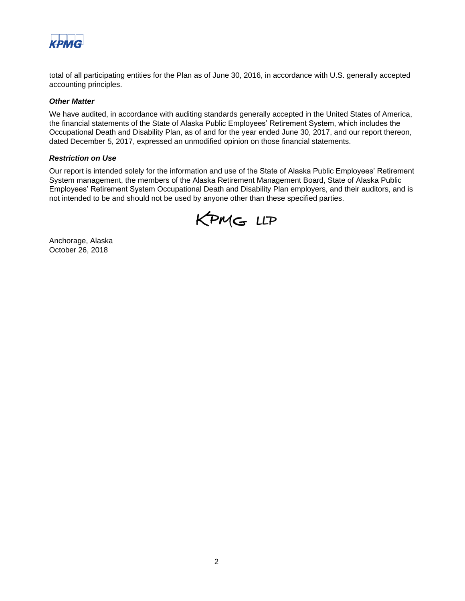

total of all participating entities for the Plan as of June 30, 2016, in accordance with U.S. generally accepted accounting principles.

#### *Other Matter*

We have audited, in accordance with auditing standards generally accepted in the United States of America, the financial statements of the State of Alaska Public Employees' Retirement System, which includes the Occupational Death and Disability Plan, as of and for the year ended June 30, 2017, and our report thereon, dated December 5, 2017, expressed an unmodified opinion on those financial statements.

#### *Restriction on Use*

Our report is intended solely for the information and use of the State of Alaska Public Employees' Retirement System management, the members of the Alaska Retirement Management Board, State of Alaska Public Employees' Retirement System Occupational Death and Disability Plan employers, and their auditors, and is not intended to be and should not be used by anyone other than these specified parties.



Anchorage, Alaska October 26, 2018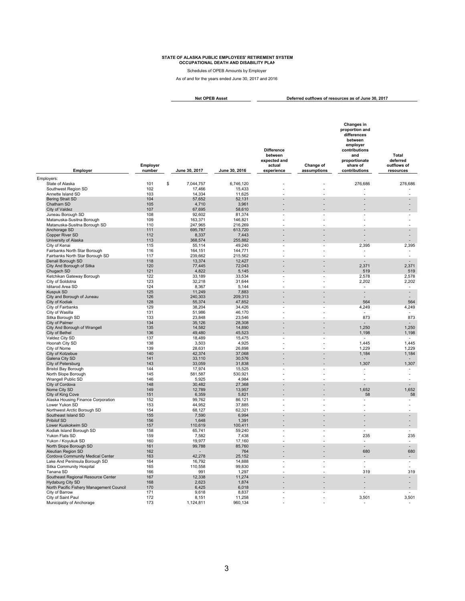Schedules of OPEB Amounts by Employer

As of and for the years ended June 30, 2017 and 2016

**Deferred outflows of resources as of June 30, 2017 Net OPEB Asset**

| Employer                                               | Employer<br>number | June 30, 2017                      | June 30, 2016      | <b>Difference</b><br>between<br>expected and<br>actual<br>experience | Change of<br>assumptions | Changes in<br>proportion and<br>differences<br>between<br>employer<br>contributions<br>and<br>proportionate<br>share of<br>contributions | Total<br>deferred<br>outflows of<br>resources |
|--------------------------------------------------------|--------------------|------------------------------------|--------------------|----------------------------------------------------------------------|--------------------------|------------------------------------------------------------------------------------------------------------------------------------------|-----------------------------------------------|
| Employers:                                             |                    |                                    |                    |                                                                      |                          |                                                                                                                                          |                                               |
| State of Alaska                                        | 101                | \$<br>7,044,757                    | 6,746,120          |                                                                      |                          | 276,686                                                                                                                                  | 276,686                                       |
| Southwest Region SD<br>Annette Island SD               | 102<br>103         | 17,466<br>14,334                   | 15,433<br>11,625   |                                                                      |                          |                                                                                                                                          |                                               |
| <b>Bering Strait SD</b>                                | 104                | 57,652                             | 52,131             |                                                                      |                          |                                                                                                                                          |                                               |
| Chatham SD                                             | 105                | 4,710                              | 3,961              |                                                                      |                          |                                                                                                                                          |                                               |
| City of Valdez                                         | 107                | 67,695                             | 58,610             |                                                                      |                          |                                                                                                                                          |                                               |
| Juneau Borough SD                                      | 108                | 92,602                             | 81,374             |                                                                      |                          | $\overline{\phantom{a}}$                                                                                                                 |                                               |
| Matanuska-Susitna Borough                              | 109                | 163,371                            | 146,821            |                                                                      |                          |                                                                                                                                          |                                               |
| Matanuska-Susitna Borough SD<br>Anchorage SD           | 110<br>111         | 247,965<br>695,787                 | 216,269<br>613,720 |                                                                      |                          |                                                                                                                                          | $\overline{a}$                                |
| Copper River SD                                        | 112                | 8,337                              | 7,443              |                                                                      |                          |                                                                                                                                          | $\overline{a}$                                |
| University of Alaska                                   | 113                | 368,574                            | 255,882            |                                                                      |                          |                                                                                                                                          | $\blacksquare$                                |
| City of Kenai                                          | 115                | 55,114                             | 49,240             |                                                                      |                          | 2,395                                                                                                                                    | 2,395                                         |
| Fairbanks North Star Borough                           | 116                | 164,151                            | 144,771            |                                                                      |                          | $\blacksquare$                                                                                                                           | $\overline{\phantom{a}}$                      |
| Fairbanks North Star Borough SD                        | 117                | 239.662                            | 215,562            |                                                                      |                          | $\overline{a}$                                                                                                                           | $\overline{\phantom{a}}$                      |
| Denali Borough SD                                      | 118                | 13,374                             | 12,427             |                                                                      |                          | $\overline{\phantom{a}}$                                                                                                                 | $\sim$                                        |
| City And Borough of Sitka<br>Chugach SD                | 120<br>121         | 77,445<br>4,822                    | 72,043<br>5,145    |                                                                      |                          | 2,371<br>519                                                                                                                             | 2,371<br>519                                  |
| Ketchikan Gateway Borough                              | 122                | 33,189                             | 33,534             | $\overline{a}$                                                       |                          | 2,578                                                                                                                                    | 2,578                                         |
| City of Soldotna                                       | 123                | 32,218                             | 31,644             |                                                                      |                          | 2,202                                                                                                                                    | 2,202                                         |
| Iditarod Area SD                                       | 124                | 8,367                              | 5,144              | J.                                                                   |                          | ÷                                                                                                                                        | $\sim$                                        |
| <b>Kuspuk SD</b>                                       | 125                | 11,249                             | 7,883              |                                                                      |                          | $\overline{a}$                                                                                                                           | $\sim$                                        |
| City and Borough of Juneau                             | 126                | 240,303                            | 209,313            | $\overline{a}$                                                       |                          |                                                                                                                                          | $\blacksquare$                                |
| City of Kodiak                                         | 128                | 55,374                             | 47,852             | $\overline{a}$                                                       |                          | 564                                                                                                                                      | 564                                           |
| City of Fairbanks<br>City of Wasilla                   | 129<br>131         | 38,204<br>51,986                   | 34,426<br>46,170   | J.                                                                   |                          | 4,249                                                                                                                                    | 4,249<br>$\sim$                               |
| Sitka Borough SD                                       | 133                | 23,848                             | 23,546             |                                                                      |                          | 873                                                                                                                                      | 873                                           |
| City of Palmer                                         | 134                | 35,126                             | 28,308             |                                                                      |                          |                                                                                                                                          | $\overline{a}$                                |
| City And Borough of Wrangell                           | 135                | 14,582                             | 14,890             | L                                                                    |                          | 1,250                                                                                                                                    | 1,250                                         |
| City of Bethel                                         | 136                | 49,480                             | 45,523             |                                                                      |                          | 1,198                                                                                                                                    | 1,198                                         |
| Valdez City SD                                         | 137                | 18,489                             | 15,475             | Ĭ.                                                                   |                          |                                                                                                                                          | $\overline{\phantom{a}}$                      |
| Hoonah City SD<br>City of Nome                         | 138<br>139         | 3,503<br>28,631                    | 4,925<br>26,898    |                                                                      |                          | 1,445<br>1,229                                                                                                                           | 1,445<br>1,229                                |
| City of Kotzebue                                       | 140                | 42,374                             | 37,068             |                                                                      |                          | 1,184                                                                                                                                    | 1,184                                         |
| Galena City SD                                         | 141                | 33,110                             | 30,576             |                                                                      |                          |                                                                                                                                          |                                               |
| City of Petersburg                                     | 143                | 33,059                             | 31,838             |                                                                      |                          | 1,307                                                                                                                                    | 1,307                                         |
| <b>Bristol Bay Borough</b>                             | 144                | 17,974                             | 15,525             |                                                                      |                          | $\overline{\phantom{a}}$                                                                                                                 | $\overline{\phantom{a}}$                      |
| North Slope Borough                                    | 145<br>146         | 581,587<br>5,925                   | 530,921<br>4,984   |                                                                      |                          |                                                                                                                                          | $\overline{a}$<br>$\overline{a}$              |
| Wrangell Public SD<br>City of Cordova                  | 148                | 30,482                             | 27,368             |                                                                      |                          |                                                                                                                                          |                                               |
| Nome City SD                                           | 149                | 12,789                             | 13,957             |                                                                      |                          | 1,652                                                                                                                                    | 1,652                                         |
| City of King Cove                                      | 151                | 6,359                              | 5,821              |                                                                      |                          | 58                                                                                                                                       | 58                                            |
| Alaska Housing Finance Corporation                     | 152                | 99,762                             | 86,121             |                                                                      |                          |                                                                                                                                          | $\overline{\phantom{a}}$                      |
| Lower Yukon SD                                         | 153                | 44,952                             | 37,885             |                                                                      |                          |                                                                                                                                          |                                               |
| Northwest Arctic Borough SD                            | 154                | 68,127                             | 62,321             |                                                                      |                          |                                                                                                                                          | $\overline{a}$                                |
| Southeast Island SD<br>Pribilof SD                     | 155<br>156         | 7,590<br>1,648                     | 6,994<br>1,391     |                                                                      |                          |                                                                                                                                          | $\overline{a}$                                |
| Lower Kuskokwim SD                                     | 157                | 110,619                            | 100,411            |                                                                      |                          |                                                                                                                                          | $\overline{a}$                                |
| Kodiak Island Borough SD                               | 158                | 65,741                             | 59,240             |                                                                      |                          |                                                                                                                                          |                                               |
| Yukon Flats SD                                         | 159                | 7,582                              | 7,438              |                                                                      |                          | 235                                                                                                                                      | 235                                           |
| Yukon / Koyukuk SD                                     | 160                | 19,977                             | 17,160             |                                                                      |                          | $\overline{\phantom{a}}$                                                                                                                 | $\sim$                                        |
| North Slope Borough SD                                 | 161                | 99,788                             | 85,760             |                                                                      |                          |                                                                                                                                          | ÷.                                            |
| Aleutian Region SD<br>Cordova Community Medical Center | 162<br>163         | $\overline{\phantom{a}}$<br>42,278 | 764<br>25,152      | $\overline{a}$                                                       |                          | 680                                                                                                                                      | 680<br>$\sim$                                 |
| Lake And Peninsula Borough SD                          | 164                | 16,792                             | 14,888             | $\overline{a}$                                                       | $\overline{\phantom{a}}$ | $\overline{\phantom{a}}$                                                                                                                 | $\blacksquare$                                |
| Sitka Community Hospital                               | 165                | 110,558                            | 99,830             | $\overline{a}$                                                       |                          |                                                                                                                                          | $\overline{a}$                                |
| Tanana SD                                              | 166                | 991                                | 1,297              |                                                                      |                          | 319                                                                                                                                      | 319                                           |
| Southeast Regional Resource Center                     | 167                | 12,338                             | 11,274             |                                                                      |                          |                                                                                                                                          | $\overline{\phantom{a}}$                      |
| <b>Hydaburg City SD</b>                                | 168                | 2,623                              | 1,874              | $\overline{a}$                                                       |                          |                                                                                                                                          | $\overline{a}$                                |
| North Pacific Fishery Management Council               | 170                | 6,425                              | 6,018              |                                                                      |                          |                                                                                                                                          | $\overline{a}$                                |
| City of Barrow<br>City of Saint Paul                   | 171<br>172         | 9,618<br>8,151                     | 8,837<br>11,258    |                                                                      |                          | 3,501                                                                                                                                    | 3,501                                         |
| Municipality of Anchorage                              | 173                | 1,124,811                          | 960,134            |                                                                      |                          |                                                                                                                                          |                                               |
|                                                        |                    |                                    |                    |                                                                      |                          |                                                                                                                                          |                                               |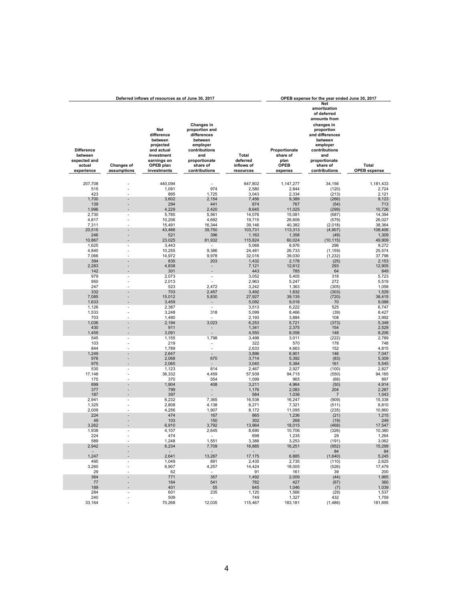|                                                        |                                | Deferred inflows of resources as of June 30, 2017                                                 |                                                                                                                         |                                 |                                                  | OPEB expense for the year ended June 30, 2017                                                                                                                                 |                     |
|--------------------------------------------------------|--------------------------------|---------------------------------------------------------------------------------------------------|-------------------------------------------------------------------------------------------------------------------------|---------------------------------|--------------------------------------------------|-------------------------------------------------------------------------------------------------------------------------------------------------------------------------------|---------------------|
| <b>Difference</b><br>between<br>expected and<br>actual | <b>Changes of</b>              | Net<br>difference<br>between<br>projected<br>and actual<br>investment<br>earnings on<br>OPEB plan | Changes in<br>proportion and<br>differences<br>between<br>employer<br>contributions<br>and<br>proportionate<br>share of | Total<br>deferred<br>inflows of | Proportionate<br>share of<br>plan<br><b>OPEB</b> | Net<br>amortization<br>of deferred<br>amounts from<br>changes in<br>proportion<br>and differences<br>between<br>emplover<br>contributions<br>and<br>proportionate<br>share of | Total               |
| experience                                             | assumptions                    | investments                                                                                       | contributions                                                                                                           | resources                       | expense                                          | contributions                                                                                                                                                                 | <b>OPEB</b> expense |
|                                                        |                                |                                                                                                   |                                                                                                                         |                                 |                                                  |                                                                                                                                                                               |                     |
| 207,708<br>515                                         |                                | 440,094<br>1,091                                                                                  | 974                                                                                                                     | 647,802<br>2,580                | 1,147,277<br>2,844                               | 34,156<br>(120)                                                                                                                                                               | 1,181,433<br>2,724  |
| 423                                                    |                                | 895                                                                                               | 1,725                                                                                                                   | 3,043                           | 2,334                                            | (213)                                                                                                                                                                         | 2,121               |
| 1,700                                                  |                                | 3,602                                                                                             | 2,154                                                                                                                   | 7,456                           | 9,389                                            | (266)                                                                                                                                                                         | 9,123               |
| 139                                                    |                                | 294                                                                                               | 441                                                                                                                     | 874                             | 767                                              | (54)                                                                                                                                                                          | 713                 |
| 1,996                                                  |                                | 4,229                                                                                             | 2,420                                                                                                                   | 8,645                           | 11,025                                           | (299)                                                                                                                                                                         | 10,726              |
| 2,730<br>4,817                                         | ÷,                             | 5,785<br>10,206                                                                                   | 5,561<br>4,692                                                                                                          | 14,076<br>19,715                | 15,081<br>26,606                                 | (687)<br>(579)                                                                                                                                                                | 14,394<br>26,027    |
| 7,311                                                  |                                | 15,491                                                                                            | 16,344                                                                                                                  | 39,146                          | 40,382                                           | (2,018)                                                                                                                                                                       | 38,364              |
| 20,515                                                 | $\overline{a}$                 | 43,466                                                                                            | 39,750                                                                                                                  | 103,731                         | 113,313                                          | (4,907)                                                                                                                                                                       | 108,406             |
| 246                                                    |                                | 521                                                                                               | 396                                                                                                                     | 1,163                           | 1,358                                            | (49)                                                                                                                                                                          | 1,309               |
| 10,867                                                 |                                | 23,025                                                                                            | 81,932                                                                                                                  | 115,824                         | 60,024                                           | (10, 115)                                                                                                                                                                     | 49,909              |
| 1,625<br>4,840                                         | $\overline{\phantom{a}}$<br>÷. | 3,443<br>10,255                                                                                   | 9,386                                                                                                                   | 5,068<br>24,481                 | 8,976<br>26,733                                  | 296<br>(1, 159)                                                                                                                                                               | 9,272<br>25,574     |
| 7,066                                                  |                                | 14,972                                                                                            | 9,978                                                                                                                   | 32,016                          | 39,030                                           | (1, 232)                                                                                                                                                                      | 37,798              |
| 394                                                    |                                | 835                                                                                               | 203                                                                                                                     | 1,432                           | 2,178                                            | (25)                                                                                                                                                                          | 2,153               |
| 2,283                                                  |                                | 4,838                                                                                             |                                                                                                                         | 7,121                           | 12,612                                           | 293                                                                                                                                                                           | 12,905              |
| 142                                                    |                                | 301                                                                                               | L,                                                                                                                      | 443                             | 785                                              | 64                                                                                                                                                                            | 849                 |
| 979<br>950                                             | $\overline{\phantom{a}}$       | 2,073                                                                                             | $\overline{a}$<br>÷,                                                                                                    | 3,052                           | 5,405                                            | 318<br>272                                                                                                                                                                    | 5,723               |
| 247                                                    |                                | 2,013<br>523                                                                                      | 2,472                                                                                                                   | 2,963<br>3,242                  | 5,247<br>1,363                                   | (305)                                                                                                                                                                         | 5,519<br>1,058      |
| 332                                                    |                                | 703                                                                                               | 2,457                                                                                                                   | 3,492                           | 1,832                                            | (303)                                                                                                                                                                         | 1,529               |
| 7,085                                                  |                                | 15,012                                                                                            | 5,830                                                                                                                   | 27,927                          | 39,135                                           | (720)                                                                                                                                                                         | 38,415              |
| 1,633                                                  |                                | 3,459                                                                                             | -                                                                                                                       | 5,092                           | 9,018                                            | 70                                                                                                                                                                            | 9,088               |
| 1,126                                                  | $\blacksquare$                 | 2,387                                                                                             | ٠                                                                                                                       | 3,513                           | 6,222                                            | 525                                                                                                                                                                           | 6,747               |
| 1,533<br>703                                           | $\overline{\phantom{a}}$       | 3,248<br>1,490                                                                                    | 318<br>٠                                                                                                                | 5,099<br>2,193                  | 8,466<br>3,884                                   | (39)<br>108                                                                                                                                                                   | 8,427<br>3,992      |
| 1,036                                                  |                                | 2,194                                                                                             | 3,023                                                                                                                   | 6,253                           | 5,721                                            | (373)                                                                                                                                                                         | 5,348               |
| 430                                                    | $\overline{a}$                 | 911                                                                                               | $\overline{a}$                                                                                                          | 1,341                           | 2,375                                            | 154                                                                                                                                                                           | 2,529               |
| 1,459                                                  |                                | 3,091                                                                                             |                                                                                                                         | 4,550                           | 8,058                                            | 148                                                                                                                                                                           | 8,206               |
| 545                                                    | $\overline{\phantom{a}}$       | 1,155                                                                                             | 1,798                                                                                                                   | 3,498                           | 3,011                                            | (222)                                                                                                                                                                         | 2,789               |
| 103                                                    |                                | 219                                                                                               | $\overline{a}$                                                                                                          | 322                             | 570                                              | 178                                                                                                                                                                           | 748                 |
| 844<br>1,249                                           |                                | 1,789<br>2,647                                                                                    | $\overline{a}$                                                                                                          | 2,633<br>3,896                  | 4,663<br>6,901                                   | 152<br>146                                                                                                                                                                    | 4,815<br>7,047      |
| 976                                                    |                                | 2,068                                                                                             | 670                                                                                                                     | 3,714                           | 5,392                                            | (83)                                                                                                                                                                          | 5,309               |
| 975                                                    |                                | 2,065                                                                                             |                                                                                                                         | 3,040                           | 5,384                                            | 161                                                                                                                                                                           | 5,545               |
| 530                                                    | ÷,                             | 1,123                                                                                             | 814                                                                                                                     | 2,467                           | 2,927                                            | (100)                                                                                                                                                                         | 2,827               |
| 17,148                                                 |                                | 36,332                                                                                            | 4,459                                                                                                                   | 57,939                          | 94,715                                           | (550)                                                                                                                                                                         | 94,165              |
| 175<br>899                                             | $\overline{a}$                 | 370<br>1,904                                                                                      | 554<br>408                                                                                                              | 1,099<br>3,211                  | 965<br>4,964                                     | (68)<br>(50)                                                                                                                                                                  | 897<br>4,914        |
| 377                                                    | $\overline{a}$                 | 799                                                                                               |                                                                                                                         | 1,176                           | 2,083                                            | 204                                                                                                                                                                           | 2,287               |
| 187                                                    |                                | 397                                                                                               |                                                                                                                         | 584                             | 1,036                                            | $\overline{7}$                                                                                                                                                                | 1,043               |
| 2,941                                                  | $\overline{\phantom{a}}$       | 6,232                                                                                             | 7,365                                                                                                                   | 16,538                          | 16,247                                           | (909)                                                                                                                                                                         | 15,338              |
| 1,325                                                  |                                | 2,808                                                                                             | 4,138                                                                                                                   | 8,271                           | 7,321                                            | (511)                                                                                                                                                                         | 6,810               |
| 2,009<br>224                                           |                                | 4,256<br>474                                                                                      | 1,907<br>167                                                                                                            | 8,172<br>865                    | 11,095<br>1,236                                  | (235)<br>(21)                                                                                                                                                                 | 10,860<br>1,215     |
| 49                                                     |                                | 103                                                                                               | 150                                                                                                                     | 302                             | 268                                              | (19)                                                                                                                                                                          | 249                 |
| 3,262                                                  |                                | 6,910                                                                                             | 3,792                                                                                                                   | 13,964                          | 18,015                                           | (468)                                                                                                                                                                         | 17,547              |
| 1,938                                                  |                                | 4,107                                                                                             | 2,645                                                                                                                   | 8,690                           | 10.706                                           | (326)                                                                                                                                                                         | 10,380              |
| 224                                                    |                                | 474                                                                                               | $\sim$                                                                                                                  | 698                             | 1,235                                            | 29                                                                                                                                                                            | 1,264               |
| 589                                                    |                                | 1,248                                                                                             | 1,551                                                                                                                   | 3,388                           | 3,253                                            | (191)<br>(952)                                                                                                                                                                | 3,062<br>15,299     |
| 2,942<br>$\sim$                                        |                                | 6,234<br>$\sim$                                                                                   | 7,709<br>$\sim$                                                                                                         | 16,885<br>$\sim$                | 16,251<br>$\sim$                                 | 84                                                                                                                                                                            | 84                  |
| 1,247                                                  |                                | 2,641                                                                                             | 13,287                                                                                                                  | 17,175                          | 6,885                                            | (1,640)                                                                                                                                                                       | 5,245               |
| 495                                                    |                                | 1,049                                                                                             | 891                                                                                                                     | 2,435                           | 2,735                                            | (110)                                                                                                                                                                         | 2,625               |
| 3,260                                                  |                                | 6,907                                                                                             | 4,257                                                                                                                   | 14,424                          | 18,005                                           | (526)                                                                                                                                                                         | 17,479              |
| 29                                                     |                                | 62                                                                                                | $\sim$                                                                                                                  | 91                              | 161                                              | 39                                                                                                                                                                            | 200                 |
| 364<br>77                                              |                                | 771<br>164                                                                                        | 357<br>541                                                                                                              | 1,492<br>782                    | 2,009<br>427                                     | (44)<br>(67)                                                                                                                                                                  | 1,965<br>360        |
| 189                                                    |                                | 401                                                                                               | 55                                                                                                                      | 645                             | 1,046                                            | (7)                                                                                                                                                                           | 1,039               |
| 284                                                    |                                | 601                                                                                               | 235                                                                                                                     | 1,120                           | 1,566                                            | (29)                                                                                                                                                                          | 1,537               |
| 240                                                    |                                | 509                                                                                               | $\sim$                                                                                                                  | 749                             | 1,327                                            | 432                                                                                                                                                                           | 1,759               |
| 33,164                                                 |                                | 70,268                                                                                            | 12,035                                                                                                                  | 115,467                         | 183,181                                          | (1, 486)                                                                                                                                                                      | 181,695             |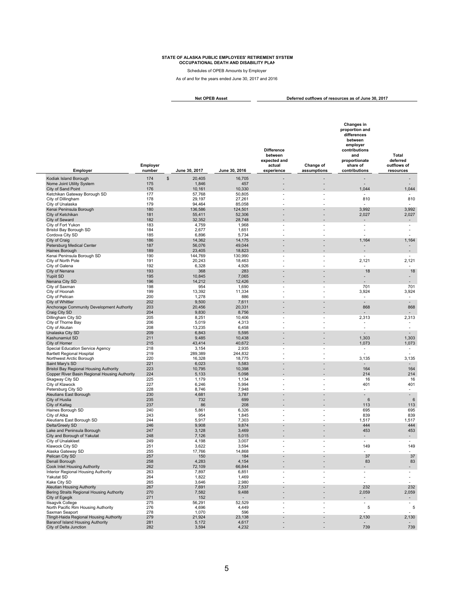Schedules of OPEB Amounts by Employer

As of and for the years ended June 30, 2017 and 2016

**Deferred outflows of resources as of June 30, 2017 Net OPEB Asset**

| Employer                                                                            | Emplover<br>number | June 30, 2017   | June 30, 2016   | <b>Difference</b><br>between<br>expected and<br>actual<br>experience | Change of<br>assumptions | <b>Changes in</b><br>proportion and<br>differences<br>between<br>employer<br>contributions<br>and<br>proportionate<br>share of<br>contributions | <b>Total</b><br>deferred<br>outflows of<br>resources |
|-------------------------------------------------------------------------------------|--------------------|-----------------|-----------------|----------------------------------------------------------------------|--------------------------|-------------------------------------------------------------------------------------------------------------------------------------------------|------------------------------------------------------|
|                                                                                     | 174                | \$<br>20,405    |                 |                                                                      | ÷                        |                                                                                                                                                 |                                                      |
| Kodiak Island Borough<br>Nome Joint Utility System                                  | 175                | 1,846           | 16,705<br>457   |                                                                      | -                        |                                                                                                                                                 |                                                      |
| City of Sand Point                                                                  | 176                | 10,161          | 10,330          |                                                                      |                          | 1,044                                                                                                                                           | 1,044                                                |
| Ketchikan Gateway Borough SD                                                        | 177                | 57,768          | 50,805          | $\overline{a}$                                                       |                          |                                                                                                                                                 |                                                      |
| City of Dillingham                                                                  | 178                | 29,197          | 27,261          | $\overline{a}$                                                       | ٠                        | 810                                                                                                                                             | 810                                                  |
| City of Unalaska                                                                    | 179                | 94,464          | 85,058          |                                                                      |                          |                                                                                                                                                 |                                                      |
| Kenai Peninsula Borough                                                             | 180                | 136,586         | 124,501         |                                                                      |                          | 3,992                                                                                                                                           | 3,992                                                |
| City of Ketchikan                                                                   | 181                | 55,411          | 52,306          | $\overline{a}$                                                       |                          | 2,027                                                                                                                                           | 2,027                                                |
| City of Seward                                                                      | 182                | 32,352          | 28,748          |                                                                      |                          |                                                                                                                                                 | $\overline{\phantom{a}}$                             |
| City of Fort Yukon<br><b>Bristol Bay Borough SD</b>                                 | 183<br>184         | 4,759<br>2,677  | 1,968<br>1,651  |                                                                      | ÷.                       | $\overline{\phantom{a}}$                                                                                                                        | $\overline{\phantom{a}}$<br>$\overline{\phantom{a}}$ |
| Cordova City SD                                                                     | 185                | 6,896           | 5,734           |                                                                      |                          |                                                                                                                                                 | L,                                                   |
| City of Craig                                                                       | 186                | 14,362          | 14,175          |                                                                      | L,                       | 1,164                                                                                                                                           | 1,164                                                |
| Petersburg Medical Center                                                           | 187                | 56,076          | 49,044          | ×,                                                                   | ۰                        | $\overline{\phantom{a}}$                                                                                                                        | $\overline{\phantom{a}}$                             |
| Haines Borough                                                                      | 189                | 23,405          | 18,823          |                                                                      | ٠                        |                                                                                                                                                 | $\overline{\phantom{a}}$                             |
| Kenai Peninsula Borough SD                                                          | 190                | 144,769         | 130,990         | $\overline{\phantom{a}}$                                             | $\overline{a}$           |                                                                                                                                                 | $\overline{\phantom{a}}$                             |
| City of North Pole                                                                  | 191                | 20,243          | 18,463          |                                                                      | L,                       | 2,121                                                                                                                                           | 2,121                                                |
| City of Galena                                                                      | 192<br>193         | 6,328<br>368    | 4,926           |                                                                      |                          | $\overline{\phantom{a}}$                                                                                                                        | $\overline{\phantom{a}}$                             |
| City of Nenana<br>Yupiit SD                                                         | 195                | 10,845          | 283<br>7,065    | ÷,                                                                   | L,                       | 18                                                                                                                                              | 18<br>$\overline{\phantom{a}}$                       |
| Nenana City SD                                                                      | 196                | 14,212          | 12,426          |                                                                      |                          |                                                                                                                                                 | $\blacksquare$                                       |
| City of Saxman                                                                      | 198                | 954             | 1,690           | ٠                                                                    | ٠                        | 701                                                                                                                                             | 701                                                  |
| City of Hoonah                                                                      | 199                | 13,392          | 11,334          |                                                                      |                          | 3,924                                                                                                                                           | 3,924                                                |
| City of Pelican                                                                     | 200                | 1,278           | 886             | L.                                                                   |                          | $\overline{\phantom{a}}$                                                                                                                        | $\sim$                                               |
| City of Whittier                                                                    | 202                | 9,500           | 7,611           |                                                                      |                          |                                                                                                                                                 | $\overline{\phantom{a}}$                             |
| Anchorage Community Development Authority                                           | 203                | 20,456          | 20,331          |                                                                      |                          | 868                                                                                                                                             | 868                                                  |
| Craig City SD                                                                       | 204                | 9,830           | 8,756           |                                                                      |                          |                                                                                                                                                 | $\overline{\phantom{a}}$                             |
| Dillingham City SD<br>City of Thorne Bay                                            | 205<br>206         | 8,251<br>5,019  | 10,406<br>4,313 | $\blacksquare$                                                       | $\overline{\phantom{a}}$ | 2,313                                                                                                                                           | 2,313<br>$\overline{\phantom{a}}$                    |
| City of Akutan                                                                      | 208                | 13,235          | 6,458           | L.                                                                   | ÷.                       | $\overline{a}$                                                                                                                                  | $\mathcal{L}_{\mathcal{A}}$                          |
| Unalaska City SD                                                                    | 209                | 6,843           | 5,595           |                                                                      |                          |                                                                                                                                                 | $\mathbf{r}$                                         |
| Kashunamiut SD                                                                      | 211                | 9,485           | 10,438          | $\overline{\phantom{a}}$                                             | $\overline{a}$           | 1,303                                                                                                                                           | 1,303                                                |
| City of Homer                                                                       | 215                | 43,414          | 40,672          |                                                                      |                          | 1,073                                                                                                                                           | 1,073                                                |
| Special Education Service Agency                                                    | 218                | 3,154           | 2,935           | ٠                                                                    | ۰                        | $\overline{\phantom{a}}$                                                                                                                        | $\overline{\phantom{a}}$                             |
| <b>Bartlett Regional Hospital</b>                                                   | 219<br>220         | 289,389         | 244,832         | Ĭ.                                                                   | ÷,                       |                                                                                                                                                 | $\sim$                                               |
| Northwest Arctic Borough<br>Saint Mary's SD                                         | 221                | 16,328<br>6,023 | 18,775<br>5,583 |                                                                      |                          | 3,135                                                                                                                                           | 3,135<br>$\blacksquare$                              |
| <b>Bristol Bay Regional Housing Authority</b>                                       | 223                | 10,795          | 10,398          |                                                                      |                          | 164                                                                                                                                             | 164                                                  |
| Copper River Basin Regional Housing Authority                                       | 224                | 5,133           | 5,098           |                                                                      |                          | 214                                                                                                                                             | 214                                                  |
| Skagway City SD                                                                     | 225                | 1,179           | 1,134           | Ĩ.                                                                   | ٠                        | 16                                                                                                                                              | 16                                                   |
| City of Klawock                                                                     | 227                | 6,246           | 5,994           | Ĭ.                                                                   |                          | 401                                                                                                                                             | 401                                                  |
| Petersburg City SD                                                                  | 228                | 8,746           | 7,948           | L.                                                                   | ÷.                       | $\overline{\phantom{a}}$                                                                                                                        | $\sim$                                               |
| Aleutians East Borough<br>City of Huslia                                            | 230<br>235         | 4,681<br>732    | 3,787<br>699    | ÷,<br>$\overline{a}$                                                 | ÷,<br>$\overline{a}$     | $6\phantom{1}$                                                                                                                                  | $\blacksquare$<br>$\,6$                              |
| City of Kaltag                                                                      | 237                | 86              | 208             | ÷,                                                                   | ÷                        | 113                                                                                                                                             | 113                                                  |
| Haines Borough SD                                                                   | 240                | 5,861           | 6,326           | $\overline{a}$                                                       | -                        | 695                                                                                                                                             | 695                                                  |
| City of Atka                                                                        | 243                | 954             | 1,845           |                                                                      |                          | 839                                                                                                                                             | 839                                                  |
| Aleutians East Borough SD                                                           | 244                | 5,917           | 7,303           |                                                                      |                          | 1,517                                                                                                                                           | 1,517                                                |
| Delta/Greely SD                                                                     | 246                | 9,908           | 9,874           |                                                                      |                          | 444                                                                                                                                             | 444                                                  |
| Lake and Peninsula Borough                                                          | 247                | 3,128           | 3,469           |                                                                      |                          | 453                                                                                                                                             | 453                                                  |
| City and Borough of Yakutat                                                         | 248                | 7,126           | 5,015           |                                                                      |                          |                                                                                                                                                 | $\blacksquare$                                       |
| City of Unalakleet<br>Klawock City SD                                               | 249<br>251         | 4,198<br>3,622  | 3,007<br>3,594  |                                                                      |                          | 149                                                                                                                                             | 149                                                  |
| Alaska Gateway SD                                                                   | 255                | 17,766          | 14,868          |                                                                      |                          |                                                                                                                                                 | $\overline{a}$                                       |
| Pelican City SD                                                                     | 257                | 150             | 184             | $\overline{\phantom{a}}$                                             | L,                       | 37                                                                                                                                              | 37                                                   |
| Denali Borough                                                                      | 258                | 4,283           | 4,154           |                                                                      |                          | 83                                                                                                                                              | 83                                                   |
| Cook Inlet Housing Authority                                                        | 262                | 72,109          | 66,844          |                                                                      |                          |                                                                                                                                                 |                                                      |
| Interior Regional Housing Authority                                                 | 263                | 7,897           | 6,851           |                                                                      |                          |                                                                                                                                                 | $\overline{\phantom{a}}$                             |
| Yakutat SD                                                                          | 264                | 1,822           | 1,469           | $\overline{a}$                                                       | ٠                        |                                                                                                                                                 | $\overline{\phantom{a}}$                             |
| Kake City SD<br><b>Aleutian Housing Authority</b>                                   | 265                | 3,646           | 2,980           |                                                                      | ٠                        | 232                                                                                                                                             | $\sim$<br>232                                        |
| Bering Straits Regional Housing Authority                                           | 267<br>270         | 7,691<br>7,582  | 7,537<br>9,488  | $\overline{\phantom{a}}$                                             |                          | 2,059                                                                                                                                           | 2,059                                                |
| City of Egegik                                                                      | 271                | 152             |                 |                                                                      |                          |                                                                                                                                                 | $\blacksquare$                                       |
| Ilisagvik College                                                                   | 275                | 56,291          | 52,529          |                                                                      |                          | $\overline{\phantom{a}}$                                                                                                                        | $\sim$                                               |
| North Pacific Rim Housing Authority                                                 | 276                | 4,696           | 4,449           | $\overline{a}$                                                       | ٠                        | 5                                                                                                                                               | $\,$ 5 $\,$                                          |
| Saxman Seaport                                                                      | 278                | 1,070           | 596             | $\overline{\phantom{a}}$                                             | $\overline{a}$           |                                                                                                                                                 | $\overline{\phantom{a}}$                             |
| Tlingit-Haida Regional Housing Authority<br><b>Baranof Island Housing Authority</b> | 279<br>281         | 21,924<br>5,172 | 23,138<br>4,617 |                                                                      | ٠                        | 2,130                                                                                                                                           | 2,130                                                |
| City of Delta Junction                                                              | 282                | 3,594           | 4,232           |                                                                      |                          | 739                                                                                                                                             | 739                                                  |
|                                                                                     |                    |                 |                 |                                                                      |                          |                                                                                                                                                 |                                                      |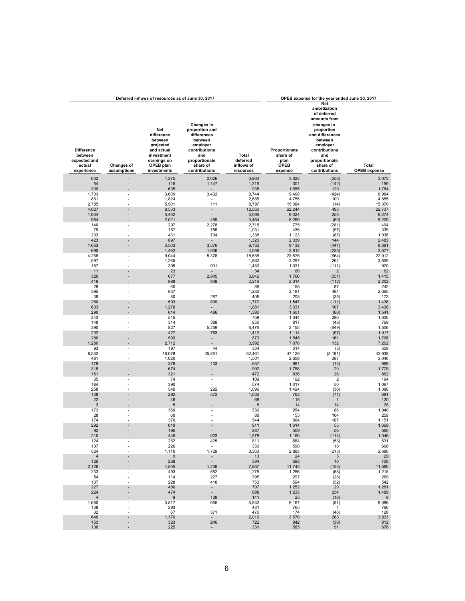|                                                                      |                                  | Deferred inflows of resources as of June 30, 2017                                                                |                                                                                                                                          |                                              |                                                             | OPEB expense for the year ended June 30, 2017                                                                                                                                                         |                              |
|----------------------------------------------------------------------|----------------------------------|------------------------------------------------------------------------------------------------------------------|------------------------------------------------------------------------------------------------------------------------------------------|----------------------------------------------|-------------------------------------------------------------|-------------------------------------------------------------------------------------------------------------------------------------------------------------------------------------------------------|------------------------------|
| <b>Difference</b><br>between<br>expected and<br>actual<br>experience | <b>Changes of</b><br>assumptions | Net<br>difference<br>between<br>projected<br>and actual<br>investment<br>earnings on<br>OPEB plan<br>investments | Changes in<br>proportion and<br>differences<br>between<br>employer<br>contributions<br>and<br>proportionate<br>share of<br>contributions | Total<br>deferred<br>inflows of<br>resources | Proportionate<br>share of<br>plan<br><b>OPEB</b><br>expense | <b>Net</b><br>amortization<br>of deferred<br>amounts from<br>changes in<br>proportion<br>and differences<br>between<br>employer<br>contributions<br>and<br>proportionate<br>share of<br>contributions | Total<br><b>OPEB</b> expense |
| 602                                                                  |                                  | 1,275                                                                                                            | 2,026                                                                                                                                    | 3,903                                        | 3,323                                                       | (250)                                                                                                                                                                                                 | 3,073                        |
| 54                                                                   |                                  | 115                                                                                                              | 1,147                                                                                                                                    | 1,316                                        | 301                                                         | (142)                                                                                                                                                                                                 | 159                          |
| 300<br>1,703                                                         | $\overline{\phantom{a}}$         | 635<br>3,609                                                                                                     | 3,432                                                                                                                                    | 935<br>8,744                                 | 1,655<br>9,408                                              | 129<br>(424)                                                                                                                                                                                          | 1,784<br>8,984               |
| 861                                                                  |                                  | 1,824                                                                                                            |                                                                                                                                          | 2,685                                        | 4,755                                                       | 100                                                                                                                                                                                                   | 4,855                        |
| 2,785                                                                | $\overline{a}$                   | 5,901                                                                                                            | 111                                                                                                                                      | 8,797                                        | 15,384                                                      | (14)                                                                                                                                                                                                  | 15,370                       |
| 4,027                                                                |                                  | 8,533                                                                                                            | $\overline{\phantom{a}}$                                                                                                                 | 12,560                                       | 22,244                                                      | 493                                                                                                                                                                                                   | 22,737                       |
| 1,634<br>954                                                         | $\overline{a}$                   | 3,462<br>2,021                                                                                                   | $\overline{a}$<br>489                                                                                                                    | 5,096<br>3,464                               | 9,024<br>5,269                                              | 250<br>(60)                                                                                                                                                                                           | 9,274<br>5,209               |
| 140                                                                  | $\overline{\phantom{m}}$         | 297                                                                                                              | 2,278                                                                                                                                    | 2,715                                        | 775                                                         | (281)                                                                                                                                                                                                 | 494                          |
| 79                                                                   | $\overline{a}$                   | 167                                                                                                              | 785                                                                                                                                      | 1,031                                        | 436                                                         | (97)                                                                                                                                                                                                  | 339                          |
| 203                                                                  | $\overline{a}$                   | 431                                                                                                              | 704                                                                                                                                      | 1,338                                        | 1,123                                                       | (87)                                                                                                                                                                                                  | 1,036                        |
| 423<br>1,653                                                         | $\overline{a}$                   | 897<br>3,503                                                                                                     | 3,576                                                                                                                                    | 1,320<br>8,732                               | 2,339<br>9,132                                              | 144<br>(441)                                                                                                                                                                                          | 2,483<br>8,691               |
| 690                                                                  |                                  | 1,462                                                                                                            | 1,906                                                                                                                                    | 4,058                                        | 3,812                                                       | (235)                                                                                                                                                                                                 | 3,577                        |
| 4,268                                                                |                                  | 9,044                                                                                                            | 5,376                                                                                                                                    | 18,688                                       | 23,576                                                      | (664)                                                                                                                                                                                                 | 22,912                       |
| 597                                                                  | L,<br>$\overline{a}$             | 1,265                                                                                                            | $\overline{a}$                                                                                                                           | 1,862                                        | 3,297                                                       | 262                                                                                                                                                                                                   | 3,559                        |
| 187<br>11                                                            | $\overline{a}$                   | 395<br>23                                                                                                        | 901                                                                                                                                      | 1,483<br>34                                  | 1,031<br>60                                                 | (111)<br>$\overline{2}$                                                                                                                                                                               | 920<br>62                    |
| 320                                                                  | $\overline{a}$                   | 677                                                                                                              | 2,845                                                                                                                                    | 3,842                                        | 1,766                                                       | (351)                                                                                                                                                                                                 | 1,415                        |
| 419                                                                  |                                  | 888                                                                                                              | 909                                                                                                                                      | 2,216                                        | 2,314                                                       | (112)                                                                                                                                                                                                 | 2,202                        |
| 28                                                                   | $\overline{a}$                   | 60                                                                                                               | $\overline{\phantom{a}}$<br>÷,                                                                                                           | 88                                           | 155                                                         | 87                                                                                                                                                                                                    | 242                          |
| 395<br>38                                                            | $\overline{a}$                   | 837<br>80                                                                                                        | 287                                                                                                                                      | 1,232<br>405                                 | 2,181<br>208                                                | 484<br>(35)                                                                                                                                                                                           | 2,665<br>173                 |
| 280                                                                  |                                  | 593                                                                                                              | 899                                                                                                                                      | 1,772                                        | 1,547                                                       | (111)                                                                                                                                                                                                 | 1,436                        |
| 603                                                                  |                                  | 1,278                                                                                                            |                                                                                                                                          | 1,881                                        | 3,331                                                       | 107                                                                                                                                                                                                   | 3,438                        |
| 290<br>243                                                           |                                  | 614<br>515                                                                                                       | 486                                                                                                                                      | 1,390<br>758                                 | 1,601<br>1,344                                              | (60)<br>286                                                                                                                                                                                           | 1,541<br>1,630               |
| 148                                                                  |                                  | 314                                                                                                              | 388                                                                                                                                      | 850                                          | 817                                                         | (48)                                                                                                                                                                                                  | 769                          |
| 390                                                                  |                                  | 827                                                                                                              | 5,259                                                                                                                                    | 6,476                                        | 2,155                                                       | (649)                                                                                                                                                                                                 | 1,506                        |
| 202                                                                  | $\overline{a}$                   | 427                                                                                                              | 783                                                                                                                                      | 1,412                                        | 1,114                                                       | (97)                                                                                                                                                                                                  | 1,017                        |
| 280<br>1,280                                                         |                                  | 593<br>2,712                                                                                                     |                                                                                                                                          | 873<br>3,992                                 | 1,545<br>7,070                                              | 161<br>132                                                                                                                                                                                            | 1,706<br>7,202               |
| 93                                                                   |                                  | 197                                                                                                              | 44                                                                                                                                       | 334                                          | 514                                                         | (5)                                                                                                                                                                                                   | 509                          |
| 8,532                                                                | $\overline{a}$                   | 18,078                                                                                                           | 25,851                                                                                                                                   | 52,461                                       | 47,129                                                      | (3, 191)                                                                                                                                                                                              | 43,938                       |
| 481                                                                  |                                  | 1,020                                                                                                            |                                                                                                                                          | 1,501                                        | 2,659                                                       | 387                                                                                                                                                                                                   | 3,046                        |
| 178<br>318                                                           | $\overline{a}$                   | 376<br>674                                                                                                       | 103<br>$\overline{a}$                                                                                                                    | 657<br>992                                   | 981<br>1,758                                                | (13)<br>20                                                                                                                                                                                            | 968<br>1,778                 |
| 151                                                                  |                                  | 321                                                                                                              |                                                                                                                                          | 472                                          | 836                                                         | 26                                                                                                                                                                                                    | 862                          |
| 35                                                                   |                                  | 74                                                                                                               | $\overline{\phantom{a}}$                                                                                                                 | 109                                          | 192                                                         | $\overline{2}$                                                                                                                                                                                        | 194                          |
| 184<br>258                                                           | $\overline{a}$                   | 390<br>546                                                                                                       | $\overline{a}$<br>292                                                                                                                    | 574<br>1,096                                 | 1,017<br>1,424                                              | 50<br>(36)                                                                                                                                                                                            | 1,067<br>1,388               |
| 138                                                                  |                                  | 292                                                                                                              | 572                                                                                                                                      | 1,002                                        | 762                                                         | (71)                                                                                                                                                                                                  | 691                          |
| 22                                                                   |                                  | 46                                                                                                               | $\overline{\phantom{a}}$                                                                                                                 | 68                                           | 119                                                         | $\mathbf{1}$                                                                                                                                                                                          | 120                          |
| $\mathbf{3}$                                                         | $\overline{a}$                   | $\sqrt{5}$                                                                                                       |                                                                                                                                          | 8                                            | 14                                                          | 14                                                                                                                                                                                                    | 28                           |
| 173<br>28                                                            | $\overline{\phantom{a}}$<br>÷,   | 366<br>60                                                                                                        | $\overline{\phantom{a}}$<br>÷.                                                                                                           | 539<br>88                                    | 954<br>155                                                  | 86<br>104                                                                                                                                                                                             | 1,040<br>259                 |
| 174                                                                  | $\overline{a}$                   | 370                                                                                                              | $\overline{\phantom{a}}$                                                                                                                 | 544                                          | 964                                                         | 187                                                                                                                                                                                                   | 1,151                        |
| 292                                                                  |                                  | 619                                                                                                              |                                                                                                                                          | 911                                          | 1,614                                                       | 55                                                                                                                                                                                                    | 1,669                        |
| 92<br>210                                                            | $\overline{a}$                   | 195<br>445                                                                                                       | $\overline{a}$<br>923                                                                                                                    | 287<br>,578                                  | 509<br>1,160                                                | 56                                                                                                                                                                                                    | 565<br>1,046                 |
| 124                                                                  |                                  | 262                                                                                                              | 425                                                                                                                                      | 811                                          | 684                                                         | (114)<br>(53)                                                                                                                                                                                         | 631                          |
| 107                                                                  |                                  | 226                                                                                                              | $\sim$                                                                                                                                   | 333                                          | 590                                                         | 18                                                                                                                                                                                                    | 608                          |
| 524                                                                  |                                  | 1,110                                                                                                            | 1,729                                                                                                                                    | 3,363                                        | 2,893                                                       | (213)                                                                                                                                                                                                 | 2,680                        |
| $\overline{4}$<br>126                                                |                                  | $9\,$<br>268                                                                                                     | Ì,                                                                                                                                       | 13<br>394                                    | 24<br>698                                                   | $\sqrt{5}$<br>$10$                                                                                                                                                                                    | 29<br>708                    |
| 2,126                                                                |                                  | 4,505                                                                                                            | 1,236                                                                                                                                    | 7,867                                        | 11,743                                                      | (153)                                                                                                                                                                                                 | 11,590                       |
| 233                                                                  |                                  | 493                                                                                                              | 552                                                                                                                                      | 1,278                                        | 1,286                                                       | (68)                                                                                                                                                                                                  | 1,218                        |
| 54<br>107                                                            |                                  | 114<br>228                                                                                                       | 227<br>418                                                                                                                               | 395<br>753                                   | 297<br>594                                                  | (28)<br>(52)                                                                                                                                                                                          | 269<br>542                   |
| 227                                                                  |                                  | 480                                                                                                              |                                                                                                                                          | 707                                          | 1,252                                                       | 29                                                                                                                                                                                                    | 1,281                        |
| 224                                                                  |                                  | 474                                                                                                              | t,                                                                                                                                       | 698                                          | 1,235                                                       | 254                                                                                                                                                                                                   | 1,489                        |
| $\overline{4}$                                                       |                                  | $\boldsymbol{9}$                                                                                                 | 128                                                                                                                                      | 141                                          | 25                                                          | (16)                                                                                                                                                                                                  | $\boldsymbol{9}$             |
| 1,660<br>138                                                         |                                  | 3,517<br>293                                                                                                     | 655<br>$\sim$                                                                                                                            | 5,832<br>431                                 | 9,167<br>765                                                | (81)<br>$\overline{1}$                                                                                                                                                                                | 9,086<br>766                 |
| 32                                                                   |                                  | 67                                                                                                               | 371                                                                                                                                      | 470                                          | 174                                                         | (46)                                                                                                                                                                                                  | 128                          |
| 646<br>153                                                           |                                  | 1,370<br>323                                                                                                     | $\sim$<br>246                                                                                                                            | 2,016<br>722                                 | 3,570<br>842                                                | 263                                                                                                                                                                                                   | 3,833<br>812                 |
| 106                                                                  |                                  | 225                                                                                                              | $\blacksquare$                                                                                                                           | 331                                          | 585                                                         | (30)<br>91                                                                                                                                                                                            | 676                          |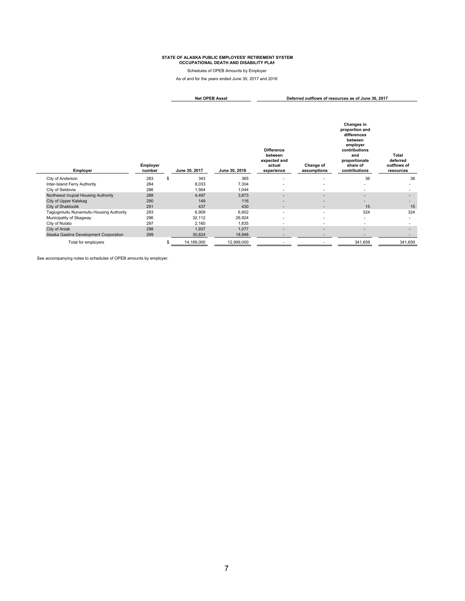Schedules of OPEB Amounts by Employer

As of and for the years ended June 30, 2017 and 2016

**Deferred outflows of resources as of June 30, 2017 Net OPEB Asset**

| Employer                                  | Employer<br>number |   | June 30, 2017 | June 30, 2016 | <b>Difference</b><br>between<br>expected and<br>actual<br>experience | Change of<br>assumptions | Changes in<br>proportion and<br>differences<br>between<br>employer<br>contributions<br>and<br>proportionate<br>share of<br>contributions | <b>Total</b><br>deferred<br>outflows of<br>resources |
|-------------------------------------------|--------------------|---|---------------|---------------|----------------------------------------------------------------------|--------------------------|------------------------------------------------------------------------------------------------------------------------------------------|------------------------------------------------------|
| City of Anderson                          | 283                | S | 343           | 365           |                                                                      | ۰                        | 36                                                                                                                                       | 36                                                   |
| Inter-Island Ferry Authority              | 284                |   | 8,033         | 7,304         |                                                                      | ٠                        | $\overline{\phantom{a}}$                                                                                                                 | ۰                                                    |
| City of Seldovia                          | 286                |   | 1,564         | 1,044         | $\overline{\phantom{a}}$                                             | ٠                        | $\overline{\phantom{a}}$                                                                                                                 |                                                      |
| Northwest Inupiat Housing Authority       | 288                |   | 4,497         | 3,873         | $\overline{\phantom{a}}$                                             | $\overline{\phantom{a}}$ | $\sim$                                                                                                                                   | $\overline{\phantom{a}}$                             |
| City of Upper Kalskag                     | 290                |   | 149           | 116           |                                                                      | -                        |                                                                                                                                          | -                                                    |
| City of Shaktoolik                        | 291                |   | 437           | 430           | $\overline{\phantom{a}}$                                             | $\overline{\phantom{a}}$ | 15                                                                                                                                       | 15                                                   |
| Tagiugmiullu Nunamiullu Housing Authority | 293                |   | 6,909         | 6,902         | $\overline{\phantom{a}}$                                             | $\overline{\phantom{a}}$ | 324                                                                                                                                      | 324                                                  |
| Municipality of Skagway                   | 296                |   | 32,112        | 26,924        | $\overline{\phantom{a}}$                                             | $\overline{\phantom{a}}$ | $\overline{\phantom{a}}$                                                                                                                 | ٠                                                    |
| City of Nulato                            | 297                |   | 2,160         | 1,835         | $\overline{\phantom{a}}$                                             | ٠                        | $\overline{\phantom{a}}$                                                                                                                 |                                                      |
| City of Aniak                             | 298                |   | 1,937         | 1,077         | $\overline{\phantom{a}}$                                             | $\overline{\phantom{a}}$ | $\overline{\phantom{a}}$                                                                                                                 | ۰.                                                   |
| Alaska Gasline Development Corporation    | 299                |   | 30,624        | 18,948        |                                                                      |                          |                                                                                                                                          |                                                      |
| Total for employers                       |                    |   | 14,189,000    | 12,999,000    |                                                                      |                          | 341,659                                                                                                                                  | 341,659                                              |

See accompanying notes to schedules of OPEB amounts by employer.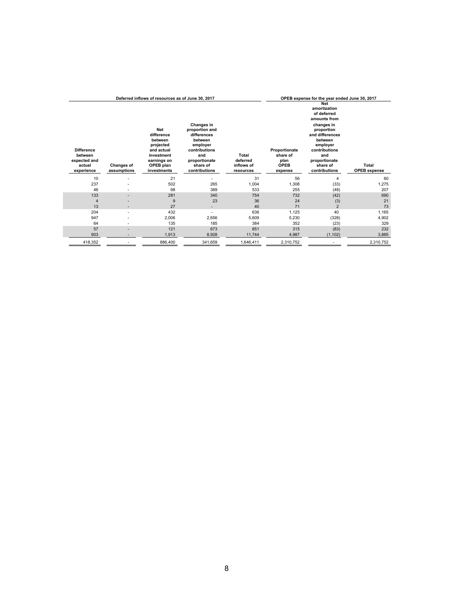|                                                        |                          | Deferred inflows of resources as of June 30, 2017                                                 |                                                                                                                         | OPEB expense for the year ended June 30, 2017 |                                                  |                                                                                                                                                                                      |                     |
|--------------------------------------------------------|--------------------------|---------------------------------------------------------------------------------------------------|-------------------------------------------------------------------------------------------------------------------------|-----------------------------------------------|--------------------------------------------------|--------------------------------------------------------------------------------------------------------------------------------------------------------------------------------------|---------------------|
| <b>Difference</b><br>between<br>expected and<br>actual | <b>Changes of</b>        | Net<br>difference<br>between<br>projected<br>and actual<br>investment<br>earnings on<br>OPEB plan | Changes in<br>proportion and<br>differences<br>between<br>employer<br>contributions<br>and<br>proportionate<br>share of | Total<br>deferred<br>inflows of               | Proportionate<br>share of<br>plan<br><b>OPEB</b> | <b>Net</b><br>amortization<br>of deferred<br>amounts from<br>changes in<br>proportion<br>and differences<br>between<br>employer<br>contributions<br>and<br>proportionate<br>share of | Total               |
| experience                                             | assumptions              | investments                                                                                       | contributions                                                                                                           | resources                                     | expense                                          | contributions                                                                                                                                                                        | <b>OPEB</b> expense |
| 10                                                     |                          | 21                                                                                                |                                                                                                                         | 31                                            | 56                                               | 4                                                                                                                                                                                    | 60                  |
| 237                                                    |                          | 502                                                                                               | 265                                                                                                                     | 1,004                                         | 1,308                                            | (33)                                                                                                                                                                                 | 1,275               |
| 46                                                     |                          | 98                                                                                                | 389                                                                                                                     | 533                                           | 255                                              | (48)                                                                                                                                                                                 | 207                 |
| 133                                                    | -                        | 281                                                                                               | 340                                                                                                                     | 754                                           | 732                                              | (42)                                                                                                                                                                                 | 690                 |
| 4                                                      |                          | 9                                                                                                 | 23                                                                                                                      | 36                                            | 24                                               | (3)                                                                                                                                                                                  | 21                  |
| 13                                                     |                          | 27                                                                                                | $\overline{\phantom{a}}$                                                                                                | 40                                            | 71                                               | $\overline{2}$                                                                                                                                                                       | 73                  |
| 204                                                    | $\overline{\phantom{a}}$ | 432                                                                                               | $\overline{\phantom{a}}$                                                                                                | 636                                           | 1,125                                            | 40                                                                                                                                                                                   | 1,165               |
| 947                                                    |                          | 2,006                                                                                             | 2,656                                                                                                                   | 5,609                                         | 5,230                                            | (328)                                                                                                                                                                                | 4,902               |
| 64                                                     |                          | 135                                                                                               | 185                                                                                                                     | 384                                           | 352                                              | (23)                                                                                                                                                                                 | 329                 |
| 57                                                     |                          | 121                                                                                               | 673                                                                                                                     | 851                                           | 315                                              | (83)                                                                                                                                                                                 | 232                 |
| 903                                                    |                          | 1,913                                                                                             | 8,928                                                                                                                   | 11,744                                        | 4.987                                            | (1, 102)                                                                                                                                                                             | 3,885               |
| 418,352                                                |                          | 886,400                                                                                           | 341,659                                                                                                                 | 1,646,411                                     | 2,310,752                                        |                                                                                                                                                                                      | 2,310,752           |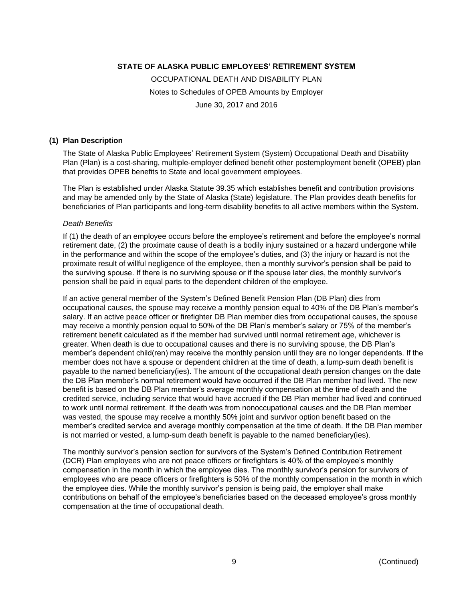OCCUPATIONAL DEATH AND DISABILITY PLAN Notes to Schedules of OPEB Amounts by Employer June 30, 2017 and 2016

#### **(1) Plan Description**

The State of Alaska Public Employees' Retirement System (System) Occupational Death and Disability Plan (Plan) is a cost-sharing, multiple-employer defined benefit other postemployment benefit (OPEB) plan that provides OPEB benefits to State and local government employees.

The Plan is established under Alaska Statute 39.35 which establishes benefit and contribution provisions and may be amended only by the State of Alaska (State) legislature. The Plan provides death benefits for beneficiaries of Plan participants and long-term disability benefits to all active members within the System.

#### *Death Benefits*

If (1) the death of an employee occurs before the employee's retirement and before the employee's normal retirement date, (2) the proximate cause of death is a bodily injury sustained or a hazard undergone while in the performance and within the scope of the employee's duties, and (3) the injury or hazard is not the proximate result of willful negligence of the employee, then a monthly survivor's pension shall be paid to the surviving spouse. If there is no surviving spouse or if the spouse later dies, the monthly survivor's pension shall be paid in equal parts to the dependent children of the employee.

If an active general member of the System's Defined Benefit Pension Plan (DB Plan) dies from occupational causes, the spouse may receive a monthly pension equal to 40% of the DB Plan's member's salary. If an active peace officer or firefighter DB Plan member dies from occupational causes, the spouse may receive a monthly pension equal to 50% of the DB Plan's member's salary or 75% of the member's retirement benefit calculated as if the member had survived until normal retirement age, whichever is greater. When death is due to occupational causes and there is no surviving spouse, the DB Plan's member's dependent child(ren) may receive the monthly pension until they are no longer dependents. If the member does not have a spouse or dependent children at the time of death, a lump-sum death benefit is payable to the named beneficiary(ies). The amount of the occupational death pension changes on the date the DB Plan member's normal retirement would have occurred if the DB Plan member had lived. The new benefit is based on the DB Plan member's average monthly compensation at the time of death and the credited service, including service that would have accrued if the DB Plan member had lived and continued to work until normal retirement. If the death was from nonoccupational causes and the DB Plan member was vested, the spouse may receive a monthly 50% joint and survivor option benefit based on the member's credited service and average monthly compensation at the time of death. If the DB Plan member is not married or vested, a lump-sum death benefit is payable to the named beneficiary(ies).

The monthly survivor's pension section for survivors of the System's Defined Contribution Retirement (DCR) Plan employees who are not peace officers or firefighters is 40% of the employee's monthly compensation in the month in which the employee dies. The monthly survivor's pension for survivors of employees who are peace officers or firefighters is 50% of the monthly compensation in the month in which the employee dies. While the monthly survivor's pension is being paid, the employer shall make contributions on behalf of the employee's beneficiaries based on the deceased employee's gross monthly compensation at the time of occupational death.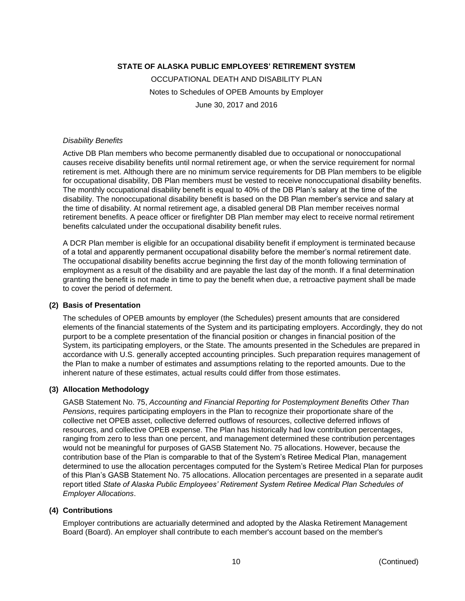OCCUPATIONAL DEATH AND DISABILITY PLAN Notes to Schedules of OPEB Amounts by Employer June 30, 2017 and 2016

#### *Disability Benefits*

Active DB Plan members who become permanently disabled due to occupational or nonoccupational causes receive disability benefits until normal retirement age, or when the service requirement for normal retirement is met. Although there are no minimum service requirements for DB Plan members to be eligible for occupational disability, DB Plan members must be vested to receive nonoccupational disability benefits. The monthly occupational disability benefit is equal to 40% of the DB Plan's salary at the time of the disability. The nonoccupational disability benefit is based on the DB Plan member's service and salary at the time of disability. At normal retirement age, a disabled general DB Plan member receives normal retirement benefits. A peace officer or firefighter DB Plan member may elect to receive normal retirement benefits calculated under the occupational disability benefit rules.

A DCR Plan member is eligible for an occupational disability benefit if employment is terminated because of a total and apparently permanent occupational disability before the member's normal retirement date. The occupational disability benefits accrue beginning the first day of the month following termination of employment as a result of the disability and are payable the last day of the month. If a final determination granting the benefit is not made in time to pay the benefit when due, a retroactive payment shall be made to cover the period of deferment.

#### **(2) Basis of Presentation**

The schedules of OPEB amounts by employer (the Schedules) present amounts that are considered elements of the financial statements of the System and its participating employers. Accordingly, they do not purport to be a complete presentation of the financial position or changes in financial position of the System, its participating employers, or the State. The amounts presented in the Schedules are prepared in accordance with U.S. generally accepted accounting principles. Such preparation requires management of the Plan to make a number of estimates and assumptions relating to the reported amounts. Due to the inherent nature of these estimates, actual results could differ from those estimates.

#### **(3) Allocation Methodology**

GASB Statement No. 75, *Accounting and Financial Reporting for Postemployment Benefits Other Than Pensions*, requires participating employers in the Plan to recognize their proportionate share of the collective net OPEB asset, collective deferred outflows of resources, collective deferred inflows of resources, and collective OPEB expense. The Plan has historically had low contribution percentages, ranging from zero to less than one percent, and management determined these contribution percentages would not be meaningful for purposes of GASB Statement No. 75 allocations. However, because the contribution base of the Plan is comparable to that of the System's Retiree Medical Plan, management determined to use the allocation percentages computed for the System's Retiree Medical Plan for purposes of this Plan's GASB Statement No. 75 allocations. Allocation percentages are presented in a separate audit report titled *State of Alaska Public Employees' Retirement System Retiree Medical Plan Schedules of Employer Allocations*.

#### **(4) Contributions**

Employer contributions are actuarially determined and adopted by the Alaska Retirement Management Board (Board). An employer shall contribute to each member's account based on the member's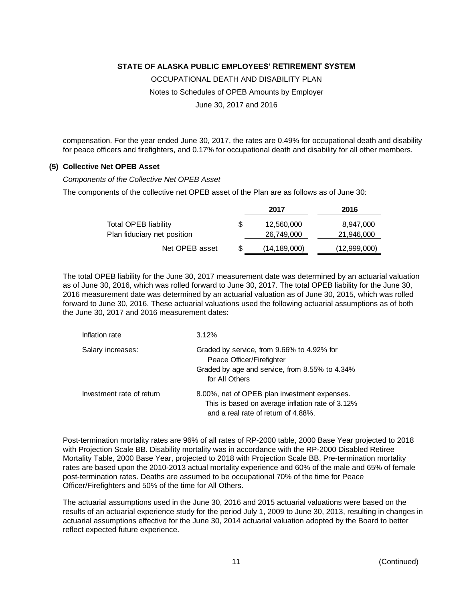OCCUPATIONAL DEATH AND DISABILITY PLAN

Notes to Schedules of OPEB Amounts by Employer

June 30, 2017 and 2016

compensation. For the year ended June 30, 2017, the rates are 0.49% for occupational death and disability for peace officers and firefighters, and 0.17% for occupational death and disability for all other members.

#### **(5) Collective Net OPEB Asset**

*Components of the Collective Net OPEB Asset*

The components of the collective net OPEB asset of the Plan are as follows as of June 30:

|                             |   | 2017           | 2016         |
|-----------------------------|---|----------------|--------------|
| <b>Total OPEB liability</b> | S | 12,560,000     | 8,947,000    |
| Plan fiduciary net position |   | 26,749,000     | 21,946,000   |
| Net OPEB asset              | S | (14, 189, 000) | (12,999,000) |

The total OPEB liability for the June 30, 2017 measurement date was determined by an actuarial valuation as of June 30, 2016, which was rolled forward to June 30, 2017. The total OPEB liability for the June 30, 2016 measurement date was determined by an actuarial valuation as of June 30, 2015, which was rolled forward to June 30, 2016. These actuarial valuations used the following actuarial assumptions as of both the June 30, 2017 and 2016 measurement dates:

| Inflation rate            | 3.12%                                                                                                                                       |
|---------------------------|---------------------------------------------------------------------------------------------------------------------------------------------|
| Salary increases:         | Graded by service, from 9.66% to 4.92% for<br>Peace Officer/Firefighter<br>Graded by age and service, from 8.55% to 4.34%<br>for All Others |
| Investment rate of return | 8.00%, net of OPEB plan investment expenses.<br>This is based on average inflation rate of 3.12%<br>and a real rate of return of 4.88%.     |

Post-termination mortality rates are 96% of all rates of RP-2000 table, 2000 Base Year projected to 2018 with Projection Scale BB. Disability mortality was in accordance with the RP-2000 Disabled Retiree Mortality Table, 2000 Base Year, projected to 2018 with Projection Scale BB. Pre-termination mortality rates are based upon the 2010-2013 actual mortality experience and 60% of the male and 65% of female post-termination rates. Deaths are assumed to be occupational 70% of the time for Peace Officer/Firefighters and 50% of the time for All Others.

The actuarial assumptions used in the June 30, 2016 and 2015 actuarial valuations were based on the results of an actuarial experience study for the period July 1, 2009 to June 30, 2013, resulting in changes in actuarial assumptions effective for the June 30, 2014 actuarial valuation adopted by the Board to better reflect expected future experience.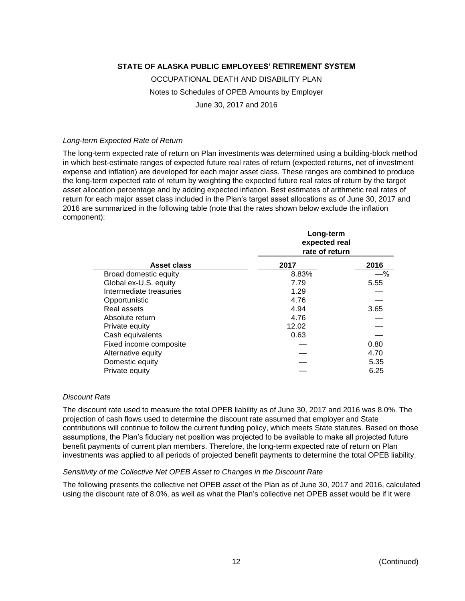# OCCUPATIONAL DEATH AND DISABILITY PLAN Notes to Schedules of OPEB Amounts by Employer June 30, 2017 and 2016

#### *Long-term Expected Rate of Return*

The long-term expected rate of return on Plan investments was determined using a building-block method in which best-estimate ranges of expected future real rates of return (expected returns, net of investment expense and inflation) are developed for each major asset class. These ranges are combined to produce the long-term expected rate of return by weighting the expected future real rates of return by the target asset allocation percentage and by adding expected inflation. Best estimates of arithmetic real rates of return for each major asset class included in the Plan's target asset allocations as of June 30, 2017 and 2016 are summarized in the following table (note that the rates shown below exclude the inflation component):

|                         | Long-term<br>expected real<br>rate of return |       |  |  |  |  |
|-------------------------|----------------------------------------------|-------|--|--|--|--|
| Asset class             | 2017                                         | 2016  |  |  |  |  |
| Broad domestic equity   | 8.83%                                        | $-$ % |  |  |  |  |
| Global ex-U.S. equity   | 7.79                                         | 5.55  |  |  |  |  |
| Intermediate treasuries | 1.29                                         |       |  |  |  |  |
| Opportunistic           | 4.76                                         |       |  |  |  |  |
| Real assets             | 4.94                                         | 3.65  |  |  |  |  |
| Absolute return         | 4.76                                         |       |  |  |  |  |
| Private equity          | 12.02                                        |       |  |  |  |  |
| Cash equivalents        | 0.63                                         |       |  |  |  |  |
| Fixed income composite  |                                              | 0.80  |  |  |  |  |
| Alternative equity      |                                              | 4.70  |  |  |  |  |
| Domestic equity         |                                              | 5.35  |  |  |  |  |
| Private equity          |                                              | 6.25  |  |  |  |  |

#### *Discount Rate*

The discount rate used to measure the total OPEB liability as of June 30, 2017 and 2016 was 8.0%. The projection of cash flows used to determine the discount rate assumed that employer and State contributions will continue to follow the current funding policy, which meets State statutes. Based on those assumptions, the Plan's fiduciary net position was projected to be available to make all projected future benefit payments of current plan members. Therefore, the long-term expected rate of return on Plan investments was applied to all periods of projected benefit payments to determine the total OPEB liability.

#### *Sensitivity of the Collective Net OPEB Asset to Changes in the Discount Rate*

The following presents the collective net OPEB asset of the Plan as of June 30, 2017 and 2016, calculated using the discount rate of 8.0%, as well as what the Plan's collective net OPEB asset would be if it were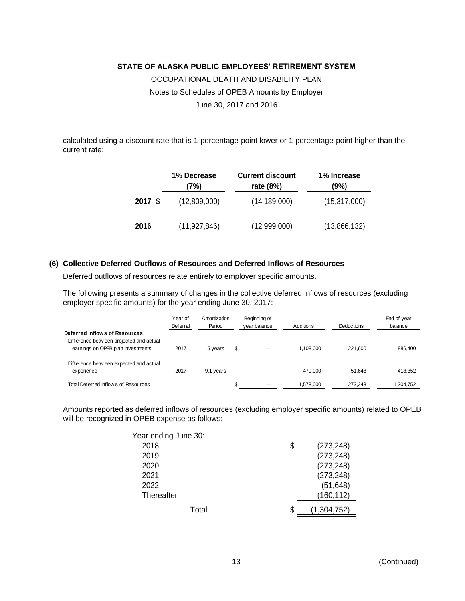OCCUPATIONAL DEATH AND DISABILITY PLAN Notes to Schedules of OPEB Amounts by Employer June 30, 2017 and 2016

calculated using a discount rate that is 1-percentage-point lower or 1-percentage-point higher than the current rate:

|         | 1% Decrease<br>(7%) | <b>Current discount</b><br>rate (8%) | 1% Increase<br>(9%) |
|---------|---------------------|--------------------------------------|---------------------|
| 2017 \$ | (12,809,000)        | (14, 189, 000)                       | (15, 317, 000)      |
| 2016    | (11, 927, 846)      | (12,999,000)                         | (13,866,132)        |

#### **(6) Collective Deferred Outflows of Resources and Deferred Inflows of Resources**

Deferred outflows of resources relate entirely to employer specific amounts.

The following presents a summary of changes in the collective deferred inflows of resources (excluding employer specific amounts) for the year ending June 30, 2017:

|                                                                              | Year of<br>Deferral | Amortization<br>Period | Beginning of<br>year balance | Additions | <b>Deductions</b> | End of year<br>balance |
|------------------------------------------------------------------------------|---------------------|------------------------|------------------------------|-----------|-------------------|------------------------|
| Deferred Inflows of Resources:                                               |                     |                        |                              |           |                   |                        |
| Difference between projected and actual<br>earnings on OPEB plan investments | 2017                | 5 years                | \$                           | 1.108.000 | 221.600           | 886,400                |
| Difference between expected and actual<br>experience                         | 2017                | 9.1 years              |                              | 470,000   | 51,648            | 418,352                |
|                                                                              |                     |                        |                              |           |                   |                        |
| Total Deferred Inflows of Resources                                          |                     |                        |                              | 1,578,000 | 273.248           | 1,304,752              |

Amounts reported as deferred inflows of resources (excluding employer specific amounts) related to OPEB will be recognized in OPEB expense as follows:

| Year ending June 30: |                   |
|----------------------|-------------------|
| 2018                 | \$<br>(273, 248)  |
| 2019                 | (273, 248)        |
| 2020                 | (273, 248)        |
| 2021                 | (273, 248)        |
| 2022                 | (51, 648)         |
| Thereafter           | (160, 112)        |
| Total                | \$<br>(1,304,752) |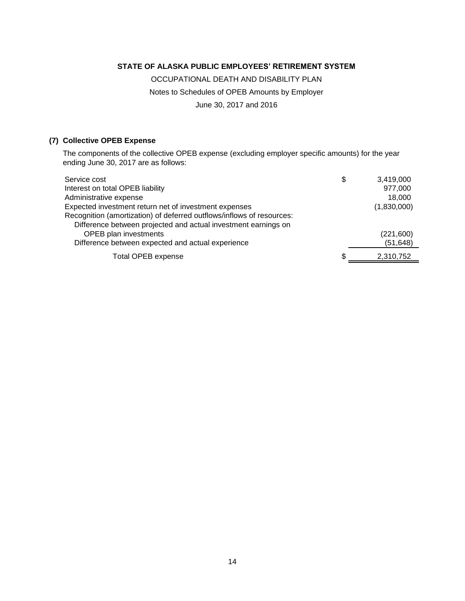OCCUPATIONAL DEATH AND DISABILITY PLAN Notes to Schedules of OPEB Amounts by Employer June 30, 2017 and 2016

## **(7) Collective OPEB Expense**

The components of the collective OPEB expense (excluding employer specific amounts) for the year ending June 30, 2017 are as follows:

| Service cost                                                          | \$<br>3,419,000 |
|-----------------------------------------------------------------------|-----------------|
| Interest on total OPEB liability                                      | 977,000         |
| Administrative expense                                                | 18,000          |
| Expected investment return net of investment expenses                 | (1,830,000)     |
| Recognition (amortization) of deferred outflows/inflows of resources: |                 |
| Difference between projected and actual investment earnings on        |                 |
| <b>OPEB</b> plan investments                                          | (221,600)       |
| Difference between expected and actual experience                     | (51, 648)       |
| Total OPEB expense                                                    | 2.310.752       |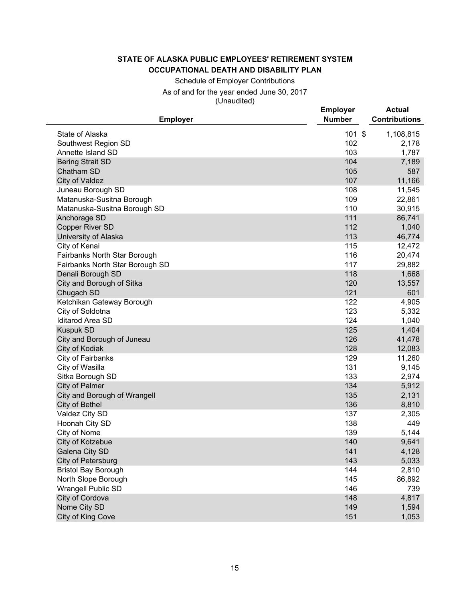Schedule of Employer Contributions As of and for the year ended June 30, 2017 (Unaudited)

| $($ U $i$ iauu $i$ u $j$                       |                                  |                                       |
|------------------------------------------------|----------------------------------|---------------------------------------|
| <b>Employer</b>                                | <b>Employer</b><br><b>Number</b> | <b>Actual</b><br><b>Contributions</b> |
| State of Alaska                                | $101$ \$                         | 1,108,815                             |
| Southwest Region SD                            | 102                              | 2,178                                 |
| Annette Island SD                              | 103                              | 1,787                                 |
| <b>Bering Strait SD</b>                        | 104                              | 7,189                                 |
| Chatham SD                                     | 105                              | 587                                   |
| City of Valdez                                 | 107                              | 11,166                                |
| Juneau Borough SD                              | 108                              | 11,545                                |
| Matanuska-Susitna Borough                      | 109                              | 22,861                                |
| Matanuska-Susitna Borough SD                   | 110                              | 30,915                                |
| Anchorage SD                                   | 111                              | 86,741                                |
| <b>Copper River SD</b>                         | 112                              | 1,040                                 |
| University of Alaska                           | 113                              | 46,774                                |
| City of Kenai                                  | 115                              | 12,472                                |
| Fairbanks North Star Borough                   | 116                              | 20,474                                |
| Fairbanks North Star Borough SD                | 117                              | 29,882                                |
| Denali Borough SD                              | 118                              | 1,668                                 |
| City and Borough of Sitka                      | 120                              | 13,557                                |
| Chugach SD                                     | 121                              | 601                                   |
| Ketchikan Gateway Borough                      | 122                              | 4,905                                 |
| City of Soldotna                               | 123                              | 5,332                                 |
| <b>Iditarod Area SD</b>                        | 124                              | 1,040                                 |
| <b>Kuspuk SD</b>                               | 125                              | 1,404                                 |
| City and Borough of Juneau                     | 126                              | 41,478                                |
| City of Kodiak                                 | 128                              | 12,083                                |
| City of Fairbanks                              | 129                              | 11,260                                |
| City of Wasilla                                | 131                              | 9,145                                 |
| Sitka Borough SD                               | 133                              | 2,974                                 |
| City of Palmer                                 | 134<br>135                       | 5,912<br>2,131                        |
| City and Borough of Wrangell<br>City of Bethel | 136                              | 8,810                                 |
| Valdez City SD                                 | 137                              | 2,305                                 |
| Hoonah City SD                                 | 138                              | 449                                   |
| City of Nome                                   | 139                              | 5,144                                 |
| City of Kotzebue                               | 140                              | 9,641                                 |
| Galena City SD                                 | 141                              | 4,128                                 |
| City of Petersburg                             | 143                              | 5,033                                 |
| <b>Bristol Bay Borough</b>                     | 144                              | 2,810                                 |
| North Slope Borough                            | 145                              | 86,892                                |
| Wrangell Public SD                             | 146                              | 739                                   |
| City of Cordova                                | 148                              | 4,817                                 |
| Nome City SD                                   | 149                              | 1,594                                 |
| City of King Cove                              | 151                              | 1,053                                 |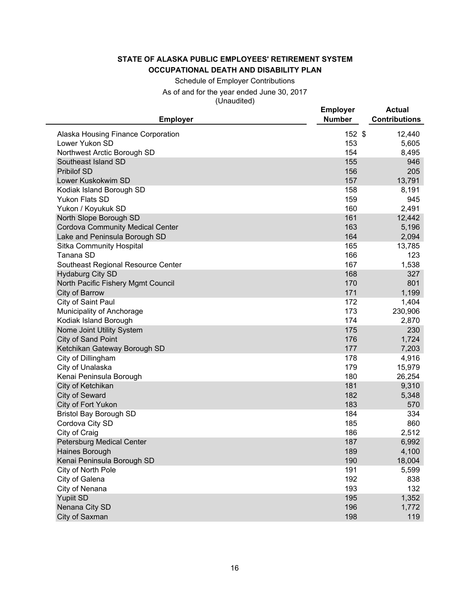Schedule of Employer Contributions As of and for the year ended June 30, 2017 (Unaudited)

| <b>Employer</b>                                      | <b>Employer</b><br><b>Number</b> | <b>Actual</b><br><b>Contributions</b> |
|------------------------------------------------------|----------------------------------|---------------------------------------|
|                                                      | 152 \$                           |                                       |
| Alaska Housing Finance Corporation<br>Lower Yukon SD | 153                              | 12,440<br>5,605                       |
| Northwest Arctic Borough SD                          | 154                              | 8,495                                 |
| Southeast Island SD                                  | 155                              | 946                                   |
| <b>Pribilof SD</b>                                   | 156                              | 205                                   |
| Lower Kuskokwim SD                                   | 157                              | 13,791                                |
| Kodiak Island Borough SD                             | 158                              | 8,191                                 |
| Yukon Flats SD                                       | 159                              | 945                                   |
| Yukon / Koyukuk SD                                   | 160                              | 2,491                                 |
| North Slope Borough SD                               | 161                              | 12,442                                |
| <b>Cordova Community Medical Center</b>              | 163                              | 5,196                                 |
| Lake and Peninsula Borough SD                        | 164                              | 2,094                                 |
| <b>Sitka Community Hospital</b>                      | 165                              | 13,785                                |
| Tanana SD                                            | 166                              | 123                                   |
| Southeast Regional Resource Center                   | 167                              | 1,538                                 |
| <b>Hydaburg City SD</b>                              | 168                              | 327                                   |
| North Pacific Fishery Mgmt Council                   | 170                              | 801                                   |
| City of Barrow                                       | 171                              | 1,199                                 |
| City of Saint Paul                                   | 172                              | 1,404                                 |
| Municipality of Anchorage                            | 173                              | 230,906                               |
| Kodiak Island Borough                                | 174                              | 2,870                                 |
| Nome Joint Utility System                            | 175                              | 230                                   |
| City of Sand Point                                   | 176                              | 1,724                                 |
| Ketchikan Gateway Borough SD                         | 177                              | 7,203                                 |
| City of Dillingham                                   | 178                              | 4,916                                 |
| City of Unalaska                                     | 179                              | 15,979                                |
| Kenai Peninsula Borough                              | 180                              | 26,254                                |
| City of Ketchikan                                    | 181                              | 9,310                                 |
| City of Seward                                       | 182                              | 5,348                                 |
| City of Fort Yukon                                   | 183                              | 570                                   |
| <b>Bristol Bay Borough SD</b>                        | 184                              | 334                                   |
| Cordova City SD                                      | 185                              | 860                                   |
| City of Craig                                        | 186<br>187                       | 2,512                                 |
| Petersburg Medical Center<br>Haines Borough          | 189                              | 6,992<br>4,100                        |
| Kenai Peninsula Borough SD                           | 190                              | 18,004                                |
| City of North Pole                                   | 191                              | 5,599                                 |
| City of Galena                                       | 192                              | 838                                   |
| City of Nenana                                       | 193                              | 132                                   |
| <b>Yupiit SD</b>                                     | 195                              | 1,352                                 |
| Nenana City SD                                       | 196                              | 1,772                                 |
| City of Saxman                                       | 198                              | 119                                   |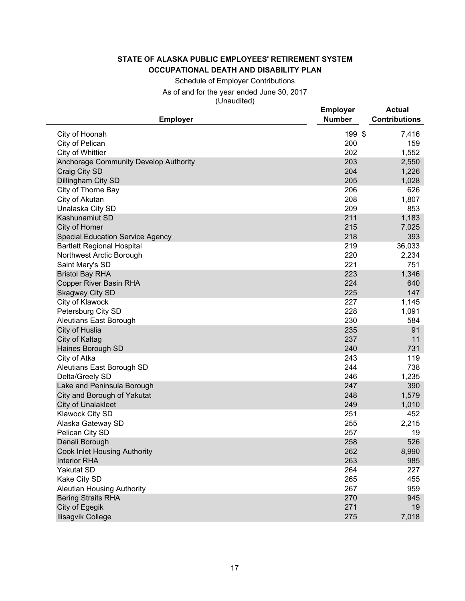Schedule of Employer Contributions As of and for the year ended June 30, 2017 (Unaudited)

| 199 \$<br>City of Hoonah<br>7,416<br>200<br>City of Pelican<br>159<br>202<br>City of Whittier<br>1,552<br>203<br>Anchorage Community Develop Authority<br>2,550<br>204<br>Craig City SD<br>1,226<br>205<br>Dillingham City SD<br>1,028<br>206<br>626<br>City of Thorne Bay<br>208<br>City of Akutan<br>1,807<br>209<br>Unalaska City SD<br>853<br>211<br><b>Kashunamiut SD</b><br>1,183<br>215<br>City of Homer<br>7,025<br>218<br>393<br><b>Special Education Service Agency</b><br><b>Bartlett Regional Hospital</b><br>219<br>36,033<br>220<br>Northwest Arctic Borough<br>2,234<br>221<br>Saint Mary's SD<br>751<br>223<br><b>Bristol Bay RHA</b><br>1,346<br>224<br><b>Copper River Basin RHA</b><br>640<br>225<br><b>Skagway City SD</b><br>147<br>City of Klawock<br>227<br>1,145<br>228<br>Petersburg City SD<br>1,091<br>230<br><b>Aleutians East Borough</b><br>584<br>City of Huslia<br>235<br>91 |
|--------------------------------------------------------------------------------------------------------------------------------------------------------------------------------------------------------------------------------------------------------------------------------------------------------------------------------------------------------------------------------------------------------------------------------------------------------------------------------------------------------------------------------------------------------------------------------------------------------------------------------------------------------------------------------------------------------------------------------------------------------------------------------------------------------------------------------------------------------------------------------------------------------------|
|                                                                                                                                                                                                                                                                                                                                                                                                                                                                                                                                                                                                                                                                                                                                                                                                                                                                                                              |
|                                                                                                                                                                                                                                                                                                                                                                                                                                                                                                                                                                                                                                                                                                                                                                                                                                                                                                              |
|                                                                                                                                                                                                                                                                                                                                                                                                                                                                                                                                                                                                                                                                                                                                                                                                                                                                                                              |
|                                                                                                                                                                                                                                                                                                                                                                                                                                                                                                                                                                                                                                                                                                                                                                                                                                                                                                              |
|                                                                                                                                                                                                                                                                                                                                                                                                                                                                                                                                                                                                                                                                                                                                                                                                                                                                                                              |
|                                                                                                                                                                                                                                                                                                                                                                                                                                                                                                                                                                                                                                                                                                                                                                                                                                                                                                              |
|                                                                                                                                                                                                                                                                                                                                                                                                                                                                                                                                                                                                                                                                                                                                                                                                                                                                                                              |
|                                                                                                                                                                                                                                                                                                                                                                                                                                                                                                                                                                                                                                                                                                                                                                                                                                                                                                              |
|                                                                                                                                                                                                                                                                                                                                                                                                                                                                                                                                                                                                                                                                                                                                                                                                                                                                                                              |
|                                                                                                                                                                                                                                                                                                                                                                                                                                                                                                                                                                                                                                                                                                                                                                                                                                                                                                              |
|                                                                                                                                                                                                                                                                                                                                                                                                                                                                                                                                                                                                                                                                                                                                                                                                                                                                                                              |
|                                                                                                                                                                                                                                                                                                                                                                                                                                                                                                                                                                                                                                                                                                                                                                                                                                                                                                              |
|                                                                                                                                                                                                                                                                                                                                                                                                                                                                                                                                                                                                                                                                                                                                                                                                                                                                                                              |
|                                                                                                                                                                                                                                                                                                                                                                                                                                                                                                                                                                                                                                                                                                                                                                                                                                                                                                              |
|                                                                                                                                                                                                                                                                                                                                                                                                                                                                                                                                                                                                                                                                                                                                                                                                                                                                                                              |
|                                                                                                                                                                                                                                                                                                                                                                                                                                                                                                                                                                                                                                                                                                                                                                                                                                                                                                              |
|                                                                                                                                                                                                                                                                                                                                                                                                                                                                                                                                                                                                                                                                                                                                                                                                                                                                                                              |
|                                                                                                                                                                                                                                                                                                                                                                                                                                                                                                                                                                                                                                                                                                                                                                                                                                                                                                              |
|                                                                                                                                                                                                                                                                                                                                                                                                                                                                                                                                                                                                                                                                                                                                                                                                                                                                                                              |
|                                                                                                                                                                                                                                                                                                                                                                                                                                                                                                                                                                                                                                                                                                                                                                                                                                                                                                              |
|                                                                                                                                                                                                                                                                                                                                                                                                                                                                                                                                                                                                                                                                                                                                                                                                                                                                                                              |
| 237<br>11<br>City of Kaltag                                                                                                                                                                                                                                                                                                                                                                                                                                                                                                                                                                                                                                                                                                                                                                                                                                                                                  |
| 240<br>Haines Borough SD<br>731                                                                                                                                                                                                                                                                                                                                                                                                                                                                                                                                                                                                                                                                                                                                                                                                                                                                              |
| 243<br>City of Atka<br>119                                                                                                                                                                                                                                                                                                                                                                                                                                                                                                                                                                                                                                                                                                                                                                                                                                                                                   |
| 244<br>Aleutians East Borough SD<br>738                                                                                                                                                                                                                                                                                                                                                                                                                                                                                                                                                                                                                                                                                                                                                                                                                                                                      |
| 246<br>1,235<br>Delta/Greely SD                                                                                                                                                                                                                                                                                                                                                                                                                                                                                                                                                                                                                                                                                                                                                                                                                                                                              |
| 247<br>Lake and Peninsula Borough<br>390                                                                                                                                                                                                                                                                                                                                                                                                                                                                                                                                                                                                                                                                                                                                                                                                                                                                     |
| 248<br>1,579<br>City and Borough of Yakutat                                                                                                                                                                                                                                                                                                                                                                                                                                                                                                                                                                                                                                                                                                                                                                                                                                                                  |
| 249<br>1,010<br><b>City of Unalakleet</b>                                                                                                                                                                                                                                                                                                                                                                                                                                                                                                                                                                                                                                                                                                                                                                                                                                                                    |
| <b>Klawock City SD</b><br>251<br>452                                                                                                                                                                                                                                                                                                                                                                                                                                                                                                                                                                                                                                                                                                                                                                                                                                                                         |
| 255<br>2,215<br>Alaska Gateway SD                                                                                                                                                                                                                                                                                                                                                                                                                                                                                                                                                                                                                                                                                                                                                                                                                                                                            |
| Pelican City SD<br>257<br>19                                                                                                                                                                                                                                                                                                                                                                                                                                                                                                                                                                                                                                                                                                                                                                                                                                                                                 |
| Denali Borough<br>258<br>526                                                                                                                                                                                                                                                                                                                                                                                                                                                                                                                                                                                                                                                                                                                                                                                                                                                                                 |
| 262<br>8,990<br><b>Cook Inlet Housing Authority</b>                                                                                                                                                                                                                                                                                                                                                                                                                                                                                                                                                                                                                                                                                                                                                                                                                                                          |
| 263<br>985<br><b>Interior RHA</b>                                                                                                                                                                                                                                                                                                                                                                                                                                                                                                                                                                                                                                                                                                                                                                                                                                                                            |
| <b>Yakutat SD</b><br>264<br>227<br>Kake City SD<br>265<br>455                                                                                                                                                                                                                                                                                                                                                                                                                                                                                                                                                                                                                                                                                                                                                                                                                                                |
| <b>Aleutian Housing Authority</b><br>267<br>959                                                                                                                                                                                                                                                                                                                                                                                                                                                                                                                                                                                                                                                                                                                                                                                                                                                              |
| <b>Bering Straits RHA</b><br>270<br>945                                                                                                                                                                                                                                                                                                                                                                                                                                                                                                                                                                                                                                                                                                                                                                                                                                                                      |
| City of Egegik<br>271<br>19                                                                                                                                                                                                                                                                                                                                                                                                                                                                                                                                                                                                                                                                                                                                                                                                                                                                                  |
| Ilisagvik College<br>275<br>7,018                                                                                                                                                                                                                                                                                                                                                                                                                                                                                                                                                                                                                                                                                                                                                                                                                                                                            |